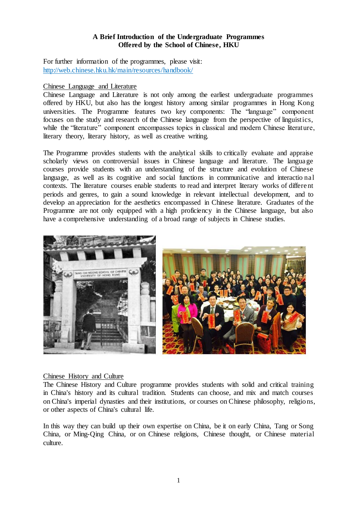## **A Brief Introduction of the Undergraduate Programmes Offered by the School of Chinese, HKU**

For further information of the programmes, please visit: <http://web.chinese.hku.hk/main/resources/handbook/>

### Chinese Language and Literature

Chinese Language and Literature is not only among the earliest undergraduate programmes offered by HKU, but also has the longest history among similar programmes in Hong Kong universities. The Programme features two key components: The "language" component focuses on the study and research of the Chinese language from the perspective of linguistics, while the "literature" component encompasses topics in classical and modern Chinese literature, literary theory, literary history, as well as creative writing.

The Programme provides students with the analytical skills to critically evaluate and appraise scholarly views on controversial issues in Chinese language and literature. The language courses provide students with an understanding of the structure and evolution of Chinese language, as well as its cognitive and social functions in communicative and interactio nal contexts. The literature courses enable students to read and interpret literary works of different periods and genres, to gain a sound knowledge in relevant intellectual development, and to develop an appreciation for the aesthetics encompassed in Chinese literature. Graduates of the Programme are not only equipped with a high proficiency in the Chinese language, but also have a comprehensive understanding of a broad range of subjects in Chinese studies.



### Chinese History and Culture

The Chinese History and Culture programme provides students with solid and critical training in China's history and its cultural tradition. Students can choose, and mix and match courses on China's imperial dynasties and their institutions, or courses on Chinese philosophy, religions, or other aspects of China's cultural life.

In this way they can build up their own expertise on China, be it on early China, Tang or Song China, or Ming-Qing China, or on Chinese religions, Chinese thought, or Chinese material culture.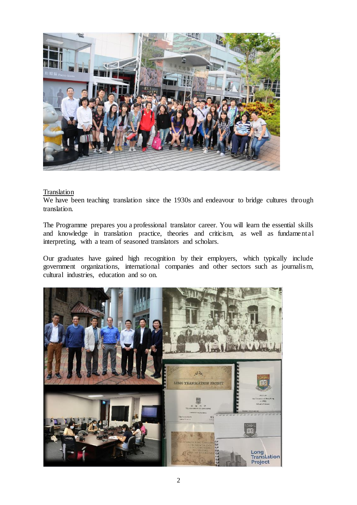

# **Translation**

We have been teaching translation since the 1930s and endeavour to bridge cultures through translation.

The Programme prepares you a professional translator career. You will learn the essential skills and knowledge in translation practice, theories and criticism, as well as fundamental interpreting, with a team of seasoned translators and scholars.

Our graduates have gained high recognition by their employers, which typically include government organizations, international companies and other sectors such as journalism, cultural industries, education and so on.